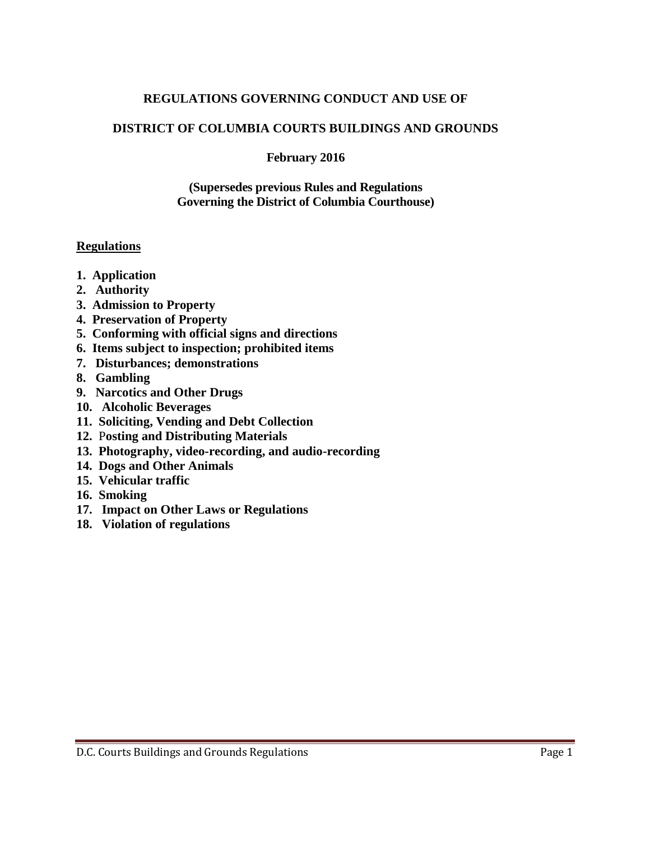#### **REGULATIONS GOVERNING CONDUCT AND USE OF**

### **DISTRICT OF COLUMBIA COURTS BUILDINGS AND GROUNDS**

#### **February 2016**

#### **(Supersedes previous Rules and Regulations Governing the District of Columbia Courthouse)**

#### **Regulations**

- **1. Application**
- **2. Authority**
- **3. Admission to Property**
- **4. Preservation of Property**
- **5. Conforming with official signs and directions**
- **6. Items subject to inspection; prohibited items**
- **7. Disturbances; demonstrations**
- **8. Gambling**
- **9. Narcotics and Other Drugs**
- **10. Alcoholic Beverages**
- **11. Soliciting, Vending and Debt Collection**
- **12.** P**osting and Distributing Materials**
- **13. Photography, video-recording, and audio-recording**
- **14. Dogs and Other Animals**
- **15. Vehicular traffic**
- **16. Smoking**
- **17. Impact on Other Laws or Regulations**
- **18. Violation of regulations**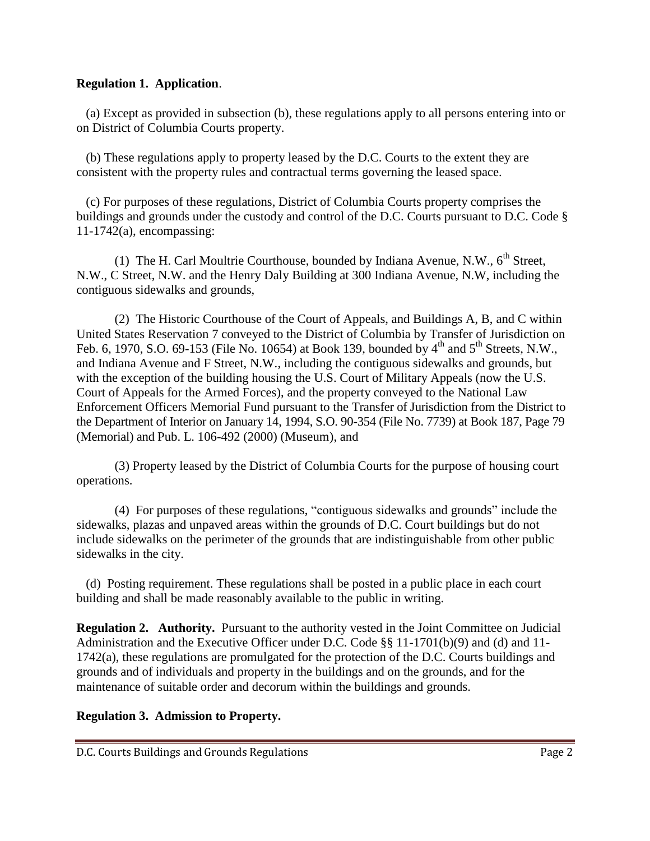#### **Regulation 1. Application**.

 (a) Except as provided in subsection (b), these regulations apply to all persons entering into or on District of Columbia Courts property.

 (b) These regulations apply to property leased by the D.C. Courts to the extent they are consistent with the property rules and contractual terms governing the leased space.

 (c) For purposes of these regulations, District of Columbia Courts property comprises the buildings and grounds under the custody and control of the D.C. Courts pursuant to D.C. Code § 11-1742(a), encompassing:

(1) The H. Carl Moultrie Courthouse, bounded by Indiana Avenue, N.W.,  $6<sup>th</sup>$  Street, N.W., C Street, N.W. and the Henry Daly Building at 300 Indiana Avenue, N.W, including the contiguous sidewalks and grounds,

 (2) The Historic Courthouse of the Court of Appeals, and Buildings A, B, and C within United States Reservation 7 conveyed to the District of Columbia by Transfer of Jurisdiction on Feb. 6, 1970, S.O. 69-153 (File No. 10654) at Book 139, bounded by  $4<sup>th</sup>$  and  $5<sup>th</sup>$  Streets, N.W., and Indiana Avenue and F Street, N.W., including the contiguous sidewalks and grounds, but with the exception of the building housing the U.S. Court of Military Appeals (now the U.S. Court of Appeals for the Armed Forces), and the property conveyed to the National Law Enforcement Officers Memorial Fund pursuant to the Transfer of Jurisdiction from the District to the Department of Interior on January 14, 1994, S.O. 90-354 (File No. 7739) at Book 187, Page 79 (Memorial) and Pub. L. 106-492 (2000) (Museum), and

(3) Property leased by the District of Columbia Courts for the purpose of housing court operations.

 (4) For purposes of these regulations, "contiguous sidewalks and grounds" include the sidewalks, plazas and unpaved areas within the grounds of D.C. Court buildings but do not include sidewalks on the perimeter of the grounds that are indistinguishable from other public sidewalks in the city.

 (d) Posting requirement. These regulations shall be posted in a public place in each court building and shall be made reasonably available to the public in writing.

**Regulation 2. Authority.** Pursuant to the authority vested in the Joint Committee on Judicial Administration and the Executive Officer under D.C. Code §§ 11-1701(b)(9) and (d) and 11- 1742(a), these regulations are promulgated for the protection of the D.C. Courts buildings and grounds and of individuals and property in the buildings and on the grounds, and for the maintenance of suitable order and decorum within the buildings and grounds.

### **Regulation 3. Admission to Property.**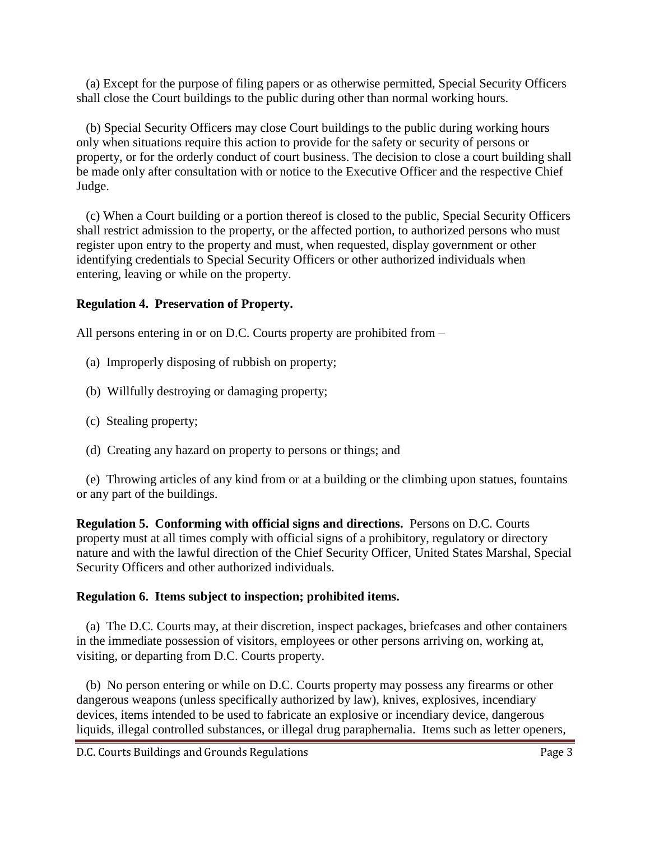(a) Except for the purpose of filing papers or as otherwise permitted, Special Security Officers shall close the Court buildings to the public during other than normal working hours.

 (b) Special Security Officers may close Court buildings to the public during working hours only when situations require this action to provide for the safety or security of persons or property, or for the orderly conduct of court business. The decision to close a court building shall be made only after consultation with or notice to the Executive Officer and the respective Chief Judge.

 (c) When a Court building or a portion thereof is closed to the public, Special Security Officers shall restrict admission to the property, or the affected portion, to authorized persons who must register upon entry to the property and must, when requested, display government or other identifying credentials to Special Security Officers or other authorized individuals when entering, leaving or while on the property.

## **Regulation 4. Preservation of Property.**

All persons entering in or on D.C. Courts property are prohibited from –

- (a) Improperly disposing of rubbish on property;
- (b) Willfully destroying or damaging property;
- (c) Stealing property;
- (d) Creating any hazard on property to persons or things; and

 (e) Throwing articles of any kind from or at a building or the climbing upon statues, fountains or any part of the buildings.

**Regulation 5. Conforming with official signs and directions.** Persons on D.C. Courts property must at all times comply with official signs of a prohibitory, regulatory or directory nature and with the lawful direction of the Chief Security Officer, United States Marshal, Special Security Officers and other authorized individuals.

# **Regulation 6. Items subject to inspection; prohibited items.**

 (a) The D.C. Courts may, at their discretion, inspect packages, briefcases and other containers in the immediate possession of visitors, employees or other persons arriving on, working at, visiting, or departing from D.C. Courts property.

 (b) No person entering or while on D.C. Courts property may possess any firearms or other dangerous weapons (unless specifically authorized by law), knives, explosives, incendiary devices, items intended to be used to fabricate an explosive or incendiary device, dangerous liquids, illegal controlled substances, or illegal drug paraphernalia. Items such as letter openers,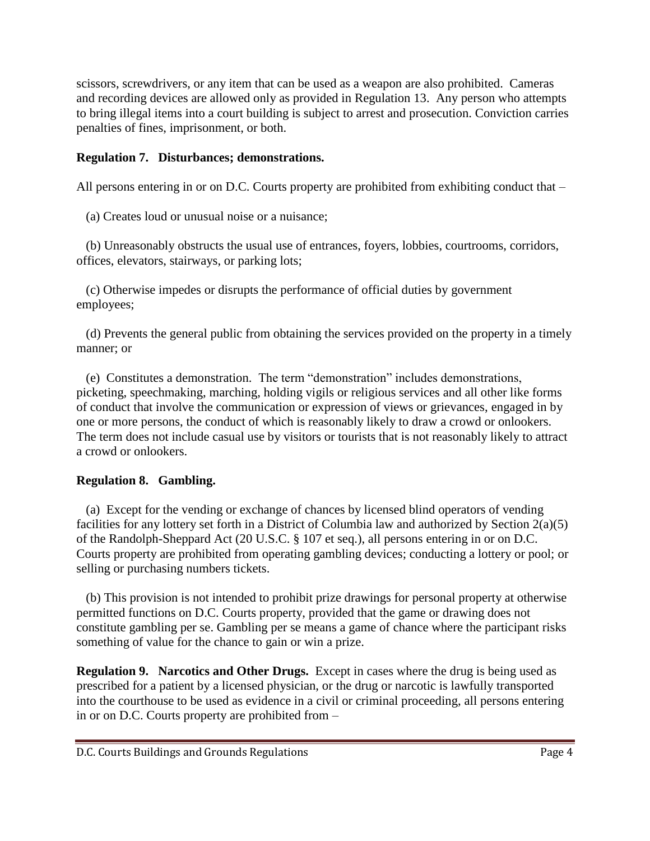scissors, screwdrivers, or any item that can be used as a weapon are also prohibited. Cameras and recording devices are allowed only as provided in Regulation 13. Any person who attempts to bring illegal items into a court building is subject to arrest and prosecution. Conviction carries penalties of fines, imprisonment, or both.

## **Regulation 7. Disturbances; demonstrations.**

All persons entering in or on D.C. Courts property are prohibited from exhibiting conduct that –

(a) Creates loud or unusual noise or a nuisance;

 (b) Unreasonably obstructs the usual use of entrances, foyers, lobbies, courtrooms, corridors, offices, elevators, stairways, or parking lots;

 (c) Otherwise impedes or disrupts the performance of official duties by government employees;

 (d) Prevents the general public from obtaining the services provided on the property in a timely manner; or

 (e) Constitutes a demonstration. The term "demonstration" includes demonstrations, picketing, speechmaking, marching, holding vigils or religious services and all other like forms of conduct that involve the communication or expression of views or grievances, engaged in by one or more persons, the conduct of which is reasonably likely to draw a crowd or onlookers. The term does not include casual use by visitors or tourists that is not reasonably likely to attract a crowd or onlookers.

# **Regulation 8. Gambling.**

(a)Except for the vending or exchange of chances by licensed blind operators of vending facilities for any lottery set forth in a District of Columbia law and authorized by Section 2(a)(5) of the Randolph-Sheppard Act (20 U.S.C. § 107 et seq.), all persons entering in or on D.C. Courts property are prohibited from operating gambling devices; conducting a lottery or pool; or selling or purchasing numbers tickets.

 (b) This provision is not intended to prohibit prize drawings for personal property at otherwise permitted functions on D.C. Courts property, provided that the game or drawing does not constitute gambling per se. Gambling per se means a game of chance where the participant risks something of value for the chance to gain or win a prize.

**Regulation 9. Narcotics and Other Drugs.** Except in cases where the drug is being used as prescribed for a patient by a licensed physician, or the drug or narcotic is lawfully transported into the courthouse to be used as evidence in a civil or criminal proceeding, all persons entering in or on D.C. Courts property are prohibited from –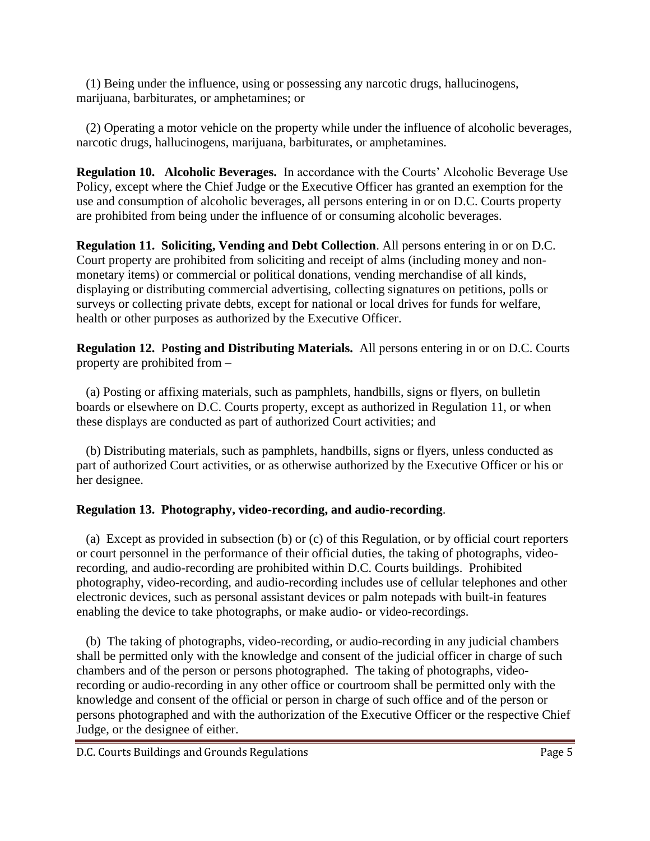(1) Being under the influence, using or possessing any narcotic drugs, hallucinogens, marijuana, barbiturates, or amphetamines; or

 (2) Operating a motor vehicle on the property while under the influence of alcoholic beverages, narcotic drugs, hallucinogens, marijuana, barbiturates, or amphetamines.

**Regulation 10. Alcoholic Beverages.** In accordance with the Courts' Alcoholic Beverage Use Policy, except where the Chief Judge or the Executive Officer has granted an exemption for the use and consumption of alcoholic beverages, all persons entering in or on D.C. Courts property are prohibited from being under the influence of or consuming alcoholic beverages.

**Regulation 11. Soliciting, Vending and Debt Collection**. All persons entering in or on D.C. Court property are prohibited from soliciting and receipt of alms (including money and nonmonetary items) or commercial or political donations, vending merchandise of all kinds, displaying or distributing commercial advertising, collecting signatures on petitions, polls or surveys or collecting private debts, except for national or local drives for funds for welfare, health or other purposes as authorized by the Executive Officer.

**Regulation 12.** P**osting and Distributing Materials.** All persons entering in or on D.C. Courts property are prohibited from –

(a) Posting or affixing materials, such as pamphlets, handbills, signs or flyers, on bulletin boards or elsewhere on D.C. Courts property, except as authorized in Regulation 11, or when these displays are conducted as part of authorized Court activities; and

 (b) Distributing materials, such as pamphlets, handbills, signs or flyers, unless conducted as part of authorized Court activities, or as otherwise authorized by the Executive Officer or his or her designee.

# **Regulation 13. Photography, video-recording, and audio-recording**.

 (a) Except as provided in subsection (b) or (c) of this Regulation, or by official court reporters or court personnel in the performance of their official duties, the taking of photographs, videorecording, and audio-recording are prohibited within D.C. Courts buildings. Prohibited photography, video-recording, and audio-recording includes use of cellular telephones and other electronic devices, such as personal assistant devices or palm notepads with built-in features enabling the device to take photographs, or make audio- or video-recordings.

 (b) The taking of photographs, video-recording, or audio-recording in any judicial chambers shall be permitted only with the knowledge and consent of the judicial officer in charge of such chambers and of the person or persons photographed. The taking of photographs, videorecording or audio-recording in any other office or courtroom shall be permitted only with the knowledge and consent of the official or person in charge of such office and of the person or persons photographed and with the authorization of the Executive Officer or the respective Chief Judge, or the designee of either.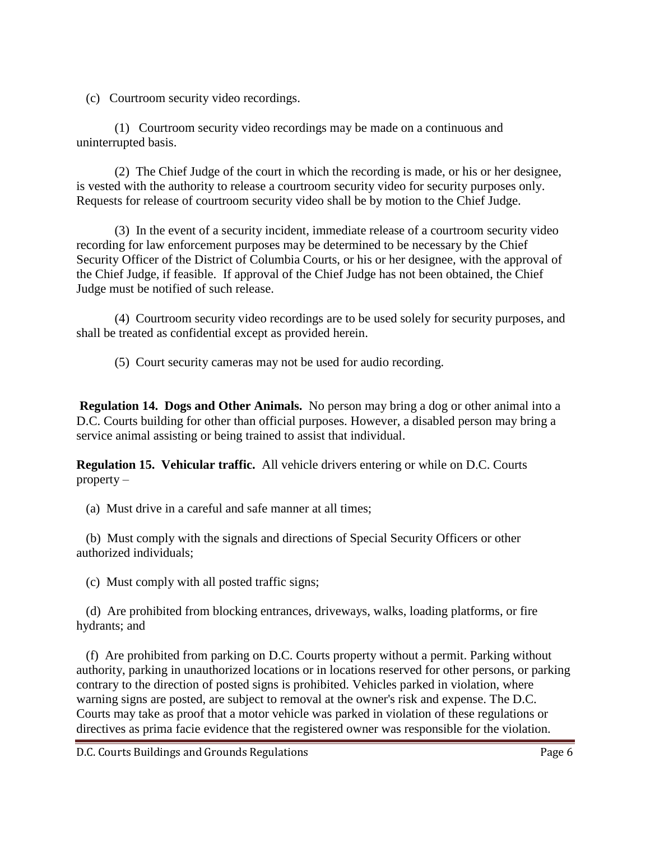(c) Courtroom security video recordings.

(1) Courtroom security video recordings may be made on a continuous and uninterrupted basis.

(2) The Chief Judge of the court in which the recording is made, or his or her designee, is vested with the authority to release a courtroom security video for security purposes only. Requests for release of courtroom security video shall be by motion to the Chief Judge.

(3) In the event of a security incident, immediate release of a courtroom security video recording for law enforcement purposes may be determined to be necessary by the Chief Security Officer of the District of Columbia Courts, or his or her designee, with the approval of the Chief Judge, if feasible. If approval of the Chief Judge has not been obtained, the Chief Judge must be notified of such release.

(4) Courtroom security video recordings are to be used solely for security purposes, and shall be treated as confidential except as provided herein.

(5) Court security cameras may not be used for audio recording.

**Regulation 14. Dogs and Other Animals.** No person may bring a dog or other animal into a D.C. Courts building for other than official purposes. However, a disabled person may bring a service animal assisting or being trained to assist that individual.

**Regulation 15. Vehicular traffic.** All vehicle drivers entering or while on D.C. Courts property –

(a) Must drive in a careful and safe manner at all times;

 (b) Must comply with the signals and directions of Special Security Officers or other authorized individuals;

(c) Must comply with all posted traffic signs;

 (d) Are prohibited from blocking entrances, driveways, walks, loading platforms, or fire hydrants; and

 (f) Are prohibited from parking on D.C. Courts property without a permit. Parking without authority, parking in unauthorized locations or in locations reserved for other persons, or parking contrary to the direction of posted signs is prohibited. Vehicles parked in violation, where warning signs are posted, are subject to removal at the owner's risk and expense. The D.C. Courts may take as proof that a motor vehicle was parked in violation of these regulations or directives as prima facie evidence that the registered owner was responsible for the violation.